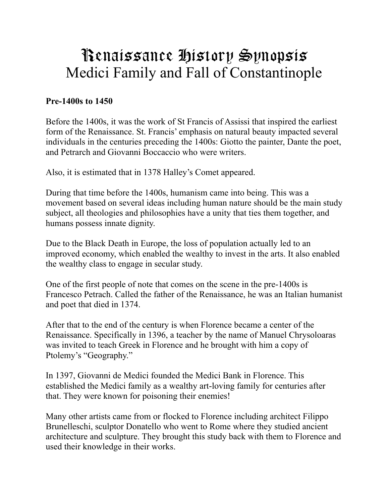# Renaissance History Synopsis Medici Family and Fall of Constantinople

### **Pre-1400s to 1450**

Before the 1400s, it was the work of St Francis of Assissi that inspired the earliest form of the Renaissance. St. Francis' emphasis on natural beauty impacted several individuals in the centuries preceding the 1400s: Giotto the painter, Dante the poet, and Petrarch and Giovanni Boccaccio who were writers.

Also, it is estimated that in 1378 Halley's Comet appeared.

During that time before the 1400s, humanism came into being. This was a movement based on several ideas including human nature should be the main study subject, all theologies and philosophies have a unity that ties them together, and humans possess innate dignity.

Due to the Black Death in Europe, the loss of population actually led to an improved economy, which enabled the wealthy to invest in the arts. It also enabled the wealthy class to engage in secular study.

One of the first people of note that comes on the scene in the pre-1400s is Francesco Petrach. Called the father of the Renaissance, he was an Italian humanist and poet that died in 1374.

After that to the end of the century is when Florence became a center of the Renaissance. Specifically in 1396, a teacher by the name of Manuel Chrysoloaras was invited to teach Greek in Florence and he brought with him a copy of Ptolemy's "Geography."

In 1397, Giovanni de Medici founded the Medici Bank in Florence. This established the Medici family as a wealthy art-loving family for centuries after that. They were known for poisoning their enemies!

Many other artists came from or flocked to Florence including architect Filippo Brunelleschi, sculptor Donatello who went to Rome where they studied ancient architecture and sculpture. They brought this study back with them to Florence and used their knowledge in their works.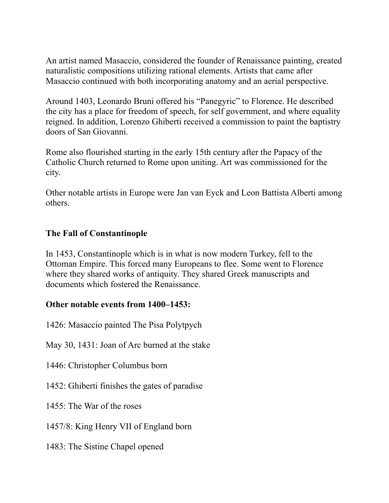An artist named Masaccio, considered the founder of Renaissance painting, created naturalistic compositions utilizing rational elements. Artists that came after Masaccio continued with both incorporating anatomy and an aerial perspective.

Around 1403, Leonardo Bruni offered his "Panegyric" to Florence. He described the city has a place for freedom of speech, for self government, and where equality reigned. In addition, Lorenzo Ghiberti received a commission to paint the baptistry doors of San Giovanni.

Rome also flourished starting in the early 15th century after the Papacy of the Catholic Church returned to Rome upon uniting. Art was commissioned for the city.

Other notable artists in Europe were Jan van Eyck and Leon Battista Alberti among others.

## **The Fall of Constantinople**

In 1453, Constantinople which is in what is now modern Turkey, fell to the Ottoman Empire. This forced many Europeans to flee. Some went to Florence where they shared works of antiquity. They shared Greek manuscripts and documents which fostered the Renaissance.

#### **Other notable events from 1400–1453:**

1426: Masaccio painted The Pisa Polytpych

May 30, 1431: Joan of Arc burned at the stake

1446: Christopher Columbus born

1452: Ghiberti finishes the gates of paradise

1455: The War of the roses

1457/8: King Henry VII of England born

1483: The Sistine Chapel opened